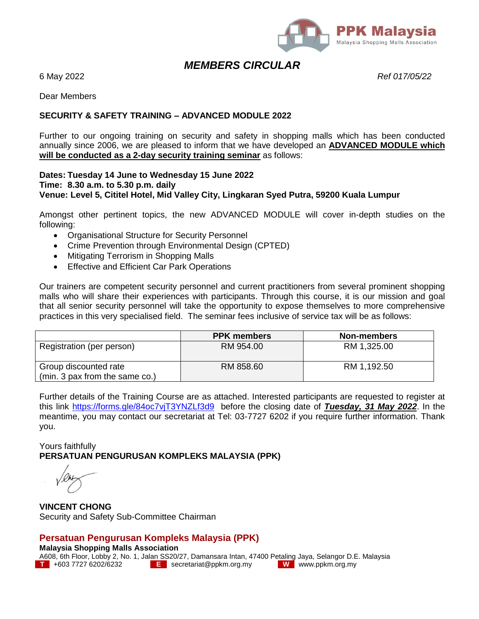

## *MEMBERS CIRCULAR*

6 May 2022 *Ref 017/05/22*

Dear Members

#### **SECURITY & SAFETY TRAINING – ADVANCED MODULE 2022**

Further to our ongoing training on security and safety in shopping malls which has been conducted annually since 2006, we are pleased to inform that we have developed an **ADVANCED MODULE which will be conducted as a 2-day security training seminar** as follows:

#### **Dates: Tuesday 14 June to Wednesday 15 June 2022 Time: 8.30 a.m. to 5.30 p.m. daily Venue: Level 5, Cititel Hotel, Mid Valley City, Lingkaran Syed Putra, 59200 Kuala Lumpur**

Amongst other pertinent topics, the new ADVANCED MODULE will cover in-depth studies on the following:

- Organisational Structure for Security Personnel
- Crime Prevention through Environmental Design (CPTED)
- Mitigating Terrorism in Shopping Malls
- **•** Effective and Efficient Car Park Operations

Our trainers are competent security personnel and current practitioners from several prominent shopping malls who will share their experiences with participants. Through this course, it is our mission and goal that all senior security personnel will take the opportunity to expose themselves to more comprehensive practices in this very specialised field. The seminar fees inclusive of service tax will be as follows:

|                                                         | <b>PPK</b> members | Non-members |
|---------------------------------------------------------|--------------------|-------------|
| Registration (per person)                               | RM 954.00          | RM 1,325.00 |
| Group discounted rate<br>(min. 3 pax from the same co.) | RM 858.60          | RM 1,192.50 |

Further details of the Training Course are as attached. Interested participants are requested to register at this link<https://forms.gle/84oc7vjT3YNZLf3d9>before the closing date of *Tuesday, 31 May 2022*. In the meantime, you may contact our secretariat at Tel: 03-7727 6202 if you require further information. Thank you.

Yours faithfully **PERSATUAN PENGURUSAN KOMPLEKS MALAYSIA (PPK)**

**VINCENT CHONG** Security and Safety Sub-Committee Chairman

### **Persatuan Pengurusan Kompleks Malaysia (PPK)**

**Malaysia Shopping Malls Association** A608, 6th Floor, Lobby 2, No. 1, Jalan SS20/27, Damansara Intan, 47400 Petaling Jaya, Selangor D.E. Malaysia<br>The +603 7727 6202/6232 **T E** secretariat@ppkm.org.my **W** www.ppkm.org.my